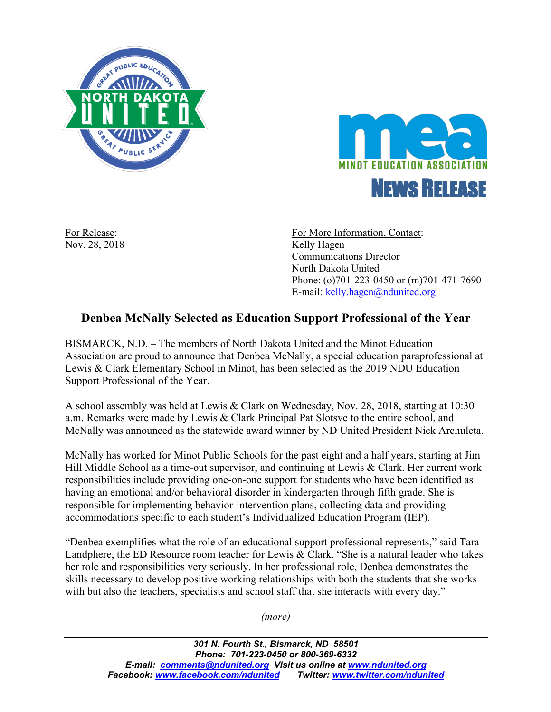



Nov. 28, 2018 Kelly Hagen

For Release: For More Information, Contact: Communications Director North Dakota United Phone: (o)701-223-0450 or (m)701-471-7690 E-mail: kelly.hagen@ndunited.org

## **Denbea McNally Selected as Education Support Professional of the Year**

BISMARCK, N.D. – The members of North Dakota United and the Minot Education Association are proud to announce that Denbea McNally, a special education paraprofessional at Lewis & Clark Elementary School in Minot, has been selected as the 2019 NDU Education Support Professional of the Year.

A school assembly was held at Lewis & Clark on Wednesday, Nov. 28, 2018, starting at 10:30 a.m. Remarks were made by Lewis & Clark Principal Pat Slotsve to the entire school, and McNally was announced as the statewide award winner by ND United President Nick Archuleta.

McNally has worked for Minot Public Schools for the past eight and a half years, starting at Jim Hill Middle School as a time-out supervisor, and continuing at Lewis & Clark. Her current work responsibilities include providing one-on-one support for students who have been identified as having an emotional and/or behavioral disorder in kindergarten through fifth grade. She is responsible for implementing behavior-intervention plans, collecting data and providing accommodations specific to each student's Individualized Education Program (IEP).

"Denbea exemplifies what the role of an educational support professional represents," said Tara Landphere, the ED Resource room teacher for Lewis & Clark. "She is a natural leader who takes her role and responsibilities very seriously. In her professional role, Denbea demonstrates the skills necessary to develop positive working relationships with both the students that she works with but also the teachers, specialists and school staff that she interacts with every day."

*(more)*